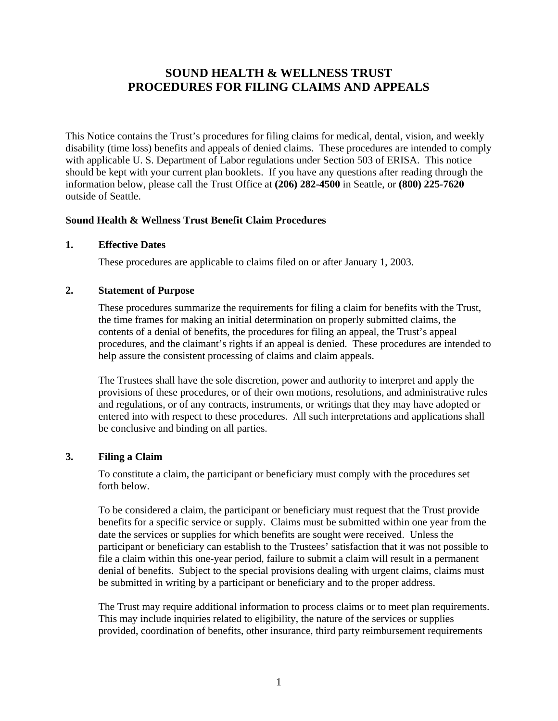# **SOUND HEALTH & WELLNESS TRUST PROCEDURES FOR FILING CLAIMS AND APPEALS**

This Notice contains the Trust's procedures for filing claims for medical, dental, vision, and weekly disability (time loss) benefits and appeals of denied claims. These procedures are intended to comply with applicable U. S. Department of Labor regulations under Section 503 of ERISA. This notice should be kept with your current plan booklets. If you have any questions after reading through the information below, please call the Trust Office at **(206) 282-4500** in Seattle, or **(800) 225-7620** outside of Seattle.

### **Sound Health & Wellness Trust Benefit Claim Procedures**

#### **1. Effective Dates**

These procedures are applicable to claims filed on or after January 1, 2003.

#### **2. Statement of Purpose**

These procedures summarize the requirements for filing a claim for benefits with the Trust, the time frames for making an initial determination on properly submitted claims, the contents of a denial of benefits, the procedures for filing an appeal, the Trust's appeal procedures, and the claimant's rights if an appeal is denied. These procedures are intended to help assure the consistent processing of claims and claim appeals.

The Trustees shall have the sole discretion, power and authority to interpret and apply the provisions of these procedures, or of their own motions, resolutions, and administrative rules and regulations, or of any contracts, instruments, or writings that they may have adopted or entered into with respect to these procedures. All such interpretations and applications shall be conclusive and binding on all parties.

## **3. Filing a Claim**

To constitute a claim, the participant or beneficiary must comply with the procedures set forth below.

To be considered a claim, the participant or beneficiary must request that the Trust provide benefits for a specific service or supply. Claims must be submitted within one year from the date the services or supplies for which benefits are sought were received. Unless the participant or beneficiary can establish to the Trustees' satisfaction that it was not possible to file a claim within this one-year period, failure to submit a claim will result in a permanent denial of benefits. Subject to the special provisions dealing with urgent claims, claims must be submitted in writing by a participant or beneficiary and to the proper address.

The Trust may require additional information to process claims or to meet plan requirements. This may include inquiries related to eligibility, the nature of the services or supplies provided, coordination of benefits, other insurance, third party reimbursement requirements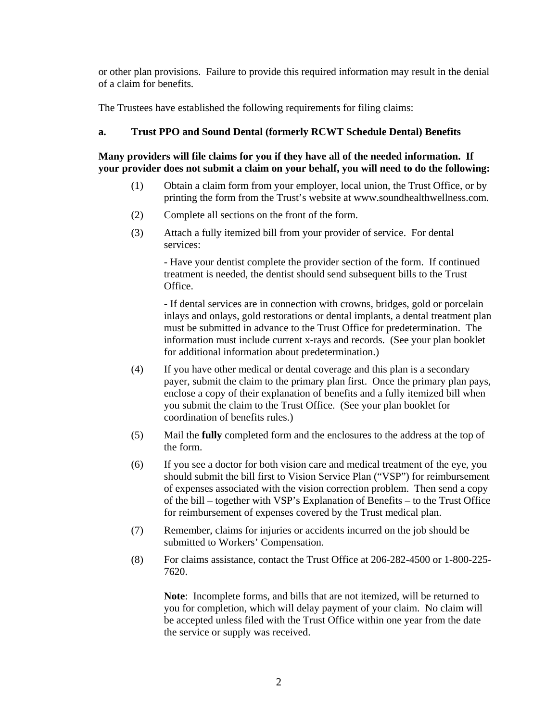or other plan provisions. Failure to provide this required information may result in the denial of a claim for benefits.

The Trustees have established the following requirements for filing claims:

## **a. Trust PPO and Sound Dental (formerly RCWT Schedule Dental) Benefits**

**Many providers will file claims for you if they have all of the needed information. If your provider does not submit a claim on your behalf, you will need to do the following:** 

- (1) Obtain a claim form from your employer, local union, the Trust Office, or by printing the form from the Trust's website at www.soundhealthwellness.com.
- (2) Complete all sections on the front of the form.
- (3) Attach a fully itemized bill from your provider of service. For dental services:

 - Have your dentist complete the provider section of the form. If continued treatment is needed, the dentist should send subsequent bills to the Trust Office.

 - If dental services are in connection with crowns, bridges, gold or porcelain inlays and onlays, gold restorations or dental implants, a dental treatment plan must be submitted in advance to the Trust Office for predetermination. The information must include current x-rays and records. (See your plan booklet for additional information about predetermination.)

- (4) If you have other medical or dental coverage and this plan is a secondary payer, submit the claim to the primary plan first. Once the primary plan pays, enclose a copy of their explanation of benefits and a fully itemized bill when you submit the claim to the Trust Office. (See your plan booklet for coordination of benefits rules.)
- (5) Mail the **fully** completed form and the enclosures to the address at the top of the form.
- (6) If you see a doctor for both vision care and medical treatment of the eye, you should submit the bill first to Vision Service Plan ("VSP") for reimbursement of expenses associated with the vision correction problem. Then send a copy of the bill – together with VSP's Explanation of Benefits – to the Trust Office for reimbursement of expenses covered by the Trust medical plan.
- (7) Remember, claims for injuries or accidents incurred on the job should be submitted to Workers' Compensation.
- (8) For claims assistance, contact the Trust Office at 206-282-4500 or 1-800-225- 7620.

**Note**: Incomplete forms, and bills that are not itemized, will be returned to you for completion, which will delay payment of your claim. No claim will be accepted unless filed with the Trust Office within one year from the date the service or supply was received.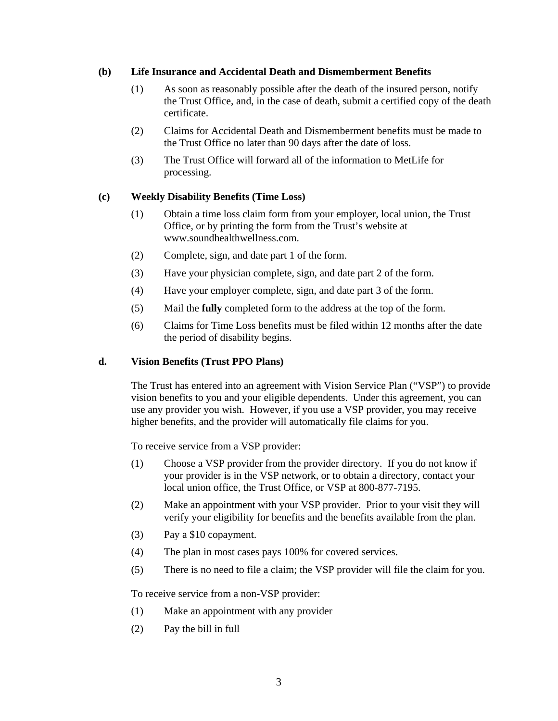#### **(b) Life Insurance and Accidental Death and Dismemberment Benefits**

- (1) As soon as reasonably possible after the death of the insured person, notify the Trust Office, and, in the case of death, submit a certified copy of the death certificate.
- (2) Claims for Accidental Death and Dismemberment benefits must be made to the Trust Office no later than 90 days after the date of loss.
- (3) The Trust Office will forward all of the information to MetLife for processing.

## **(c) Weekly Disability Benefits (Time Loss)**

- (1) Obtain a time loss claim form from your employer, local union, the Trust Office, or by printing the form from the Trust's website at www.soundhealthwellness.com.
- (2) Complete, sign, and date part 1 of the form.
- (3) Have your physician complete, sign, and date part 2 of the form.
- (4) Have your employer complete, sign, and date part 3 of the form.
- (5) Mail the **fully** completed form to the address at the top of the form.
- (6) Claims for Time Loss benefits must be filed within 12 months after the date the period of disability begins.

## **d. Vision Benefits (Trust PPO Plans)**

The Trust has entered into an agreement with Vision Service Plan ("VSP") to provide vision benefits to you and your eligible dependents. Under this agreement, you can use any provider you wish. However, if you use a VSP provider, you may receive higher benefits, and the provider will automatically file claims for you.

To receive service from a VSP provider:

- (1) Choose a VSP provider from the provider directory. If you do not know if your provider is in the VSP network, or to obtain a directory, contact your local union office, the Trust Office, or VSP at 800-877-7195.
- (2) Make an appointment with your VSP provider. Prior to your visit they will verify your eligibility for benefits and the benefits available from the plan.
- (3) Pay a \$10 copayment.
- (4) The plan in most cases pays 100% for covered services.
- (5) There is no need to file a claim; the VSP provider will file the claim for you.

To receive service from a non-VSP provider:

- (1) Make an appointment with any provider
- (2) Pay the bill in full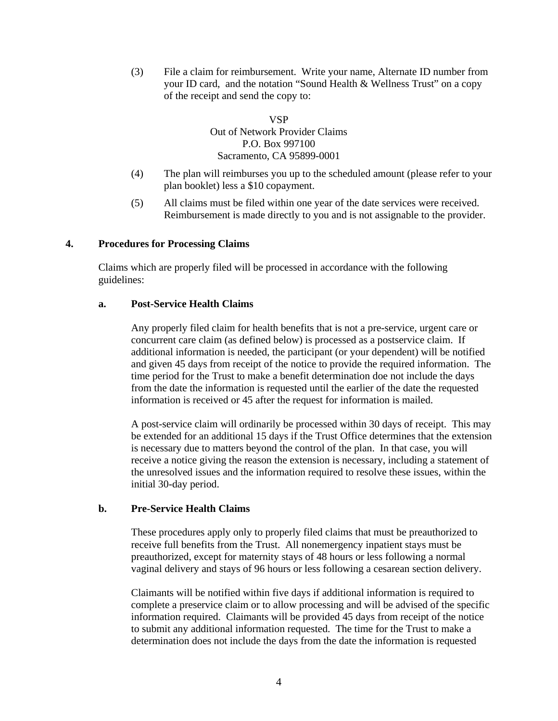(3) File a claim for reimbursement. Write your name, Alternate ID number from your ID card, and the notation "Sound Health & Wellness Trust" on a copy of the receipt and send the copy to:

> VSP Out of Network Provider Claims P.O. Box 997100 Sacramento, CA 95899-0001

- (4) The plan will reimburses you up to the scheduled amount (please refer to your plan booklet) less a \$10 copayment.
- (5) All claims must be filed within one year of the date services were received. Reimbursement is made directly to you and is not assignable to the provider.

#### **4. Procedures for Processing Claims**

Claims which are properly filed will be processed in accordance with the following guidelines:

#### **a. Post-Service Health Claims**

Any properly filed claim for health benefits that is not a pre-service, urgent care or concurrent care claim (as defined below) is processed as a postservice claim. If additional information is needed, the participant (or your dependent) will be notified and given 45 days from receipt of the notice to provide the required information. The time period for the Trust to make a benefit determination doe not include the days from the date the information is requested until the earlier of the date the requested information is received or 45 after the request for information is mailed.

A post-service claim will ordinarily be processed within 30 days of receipt. This may be extended for an additional 15 days if the Trust Office determines that the extension is necessary due to matters beyond the control of the plan. In that case, you will receive a notice giving the reason the extension is necessary, including a statement of the unresolved issues and the information required to resolve these issues, within the initial 30-day period.

## **b. Pre-Service Health Claims**

These procedures apply only to properly filed claims that must be preauthorized to receive full benefits from the Trust. All nonemergency inpatient stays must be preauthorized, except for maternity stays of 48 hours or less following a normal vaginal delivery and stays of 96 hours or less following a cesarean section delivery.

Claimants will be notified within five days if additional information is required to complete a preservice claim or to allow processing and will be advised of the specific information required. Claimants will be provided 45 days from receipt of the notice to submit any additional information requested. The time for the Trust to make a determination does not include the days from the date the information is requested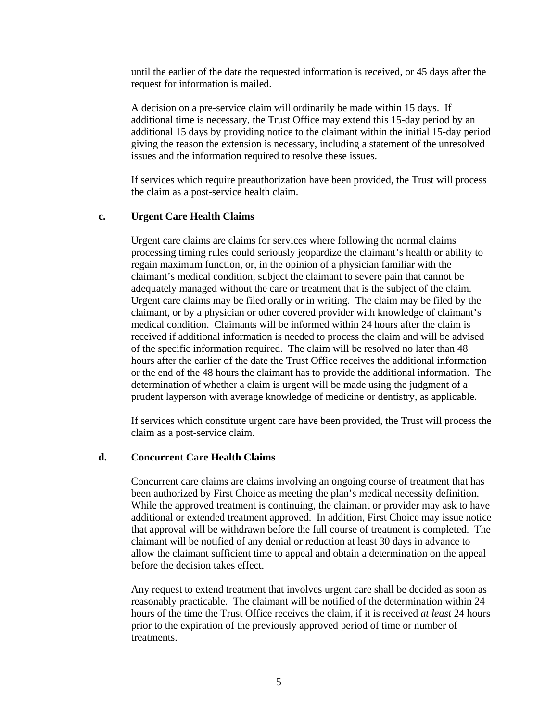until the earlier of the date the requested information is received, or 45 days after the request for information is mailed.

A decision on a pre-service claim will ordinarily be made within 15 days. If additional time is necessary, the Trust Office may extend this 15-day period by an additional 15 days by providing notice to the claimant within the initial 15-day period giving the reason the extension is necessary, including a statement of the unresolved issues and the information required to resolve these issues.

If services which require preauthorization have been provided, the Trust will process the claim as a post-service health claim.

#### **c. Urgent Care Health Claims**

Urgent care claims are claims for services where following the normal claims processing timing rules could seriously jeopardize the claimant's health or ability to regain maximum function, or, in the opinion of a physician familiar with the claimant's medical condition, subject the claimant to severe pain that cannot be adequately managed without the care or treatment that is the subject of the claim. Urgent care claims may be filed orally or in writing. The claim may be filed by the claimant, or by a physician or other covered provider with knowledge of claimant's medical condition. Claimants will be informed within 24 hours after the claim is received if additional information is needed to process the claim and will be advised of the specific information required. The claim will be resolved no later than 48 hours after the earlier of the date the Trust Office receives the additional information or the end of the 48 hours the claimant has to provide the additional information. The determination of whether a claim is urgent will be made using the judgment of a prudent layperson with average knowledge of medicine or dentistry, as applicable.

If services which constitute urgent care have been provided, the Trust will process the claim as a post-service claim.

#### **d. Concurrent Care Health Claims**

Concurrent care claims are claims involving an ongoing course of treatment that has been authorized by First Choice as meeting the plan's medical necessity definition. While the approved treatment is continuing, the claimant or provider may ask to have additional or extended treatment approved. In addition, First Choice may issue notice that approval will be withdrawn before the full course of treatment is completed. The claimant will be notified of any denial or reduction at least 30 days in advance to allow the claimant sufficient time to appeal and obtain a determination on the appeal before the decision takes effect.

Any request to extend treatment that involves urgent care shall be decided as soon as reasonably practicable. The claimant will be notified of the determination within 24 hours of the time the Trust Office receives the claim, if it is received *at least* 24 hours prior to the expiration of the previously approved period of time or number of treatments.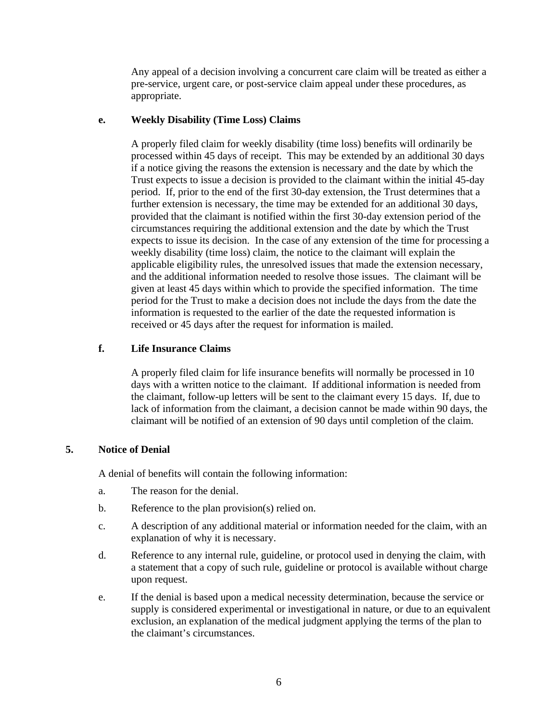Any appeal of a decision involving a concurrent care claim will be treated as either a pre-service, urgent care, or post-service claim appeal under these procedures, as appropriate.

#### **e. Weekly Disability (Time Loss) Claims**

A properly filed claim for weekly disability (time loss) benefits will ordinarily be processed within 45 days of receipt. This may be extended by an additional 30 days if a notice giving the reasons the extension is necessary and the date by which the Trust expects to issue a decision is provided to the claimant within the initial 45-day period. If, prior to the end of the first 30-day extension, the Trust determines that a further extension is necessary, the time may be extended for an additional 30 days, provided that the claimant is notified within the first 30-day extension period of the circumstances requiring the additional extension and the date by which the Trust expects to issue its decision. In the case of any extension of the time for processing a weekly disability (time loss) claim, the notice to the claimant will explain the applicable eligibility rules, the unresolved issues that made the extension necessary, and the additional information needed to resolve those issues. The claimant will be given at least 45 days within which to provide the specified information. The time period for the Trust to make a decision does not include the days from the date the information is requested to the earlier of the date the requested information is received or 45 days after the request for information is mailed.

#### **f. Life Insurance Claims**

A properly filed claim for life insurance benefits will normally be processed in 10 days with a written notice to the claimant. If additional information is needed from the claimant, follow-up letters will be sent to the claimant every 15 days. If, due to lack of information from the claimant, a decision cannot be made within 90 days, the claimant will be notified of an extension of 90 days until completion of the claim.

## **5. Notice of Denial**

A denial of benefits will contain the following information:

- a. The reason for the denial.
- b. Reference to the plan provision(s) relied on.
- c. A description of any additional material or information needed for the claim, with an explanation of why it is necessary.
- d. Reference to any internal rule, guideline, or protocol used in denying the claim, with a statement that a copy of such rule, guideline or protocol is available without charge upon request.
- e. If the denial is based upon a medical necessity determination, because the service or supply is considered experimental or investigational in nature, or due to an equivalent exclusion, an explanation of the medical judgment applying the terms of the plan to the claimant's circumstances.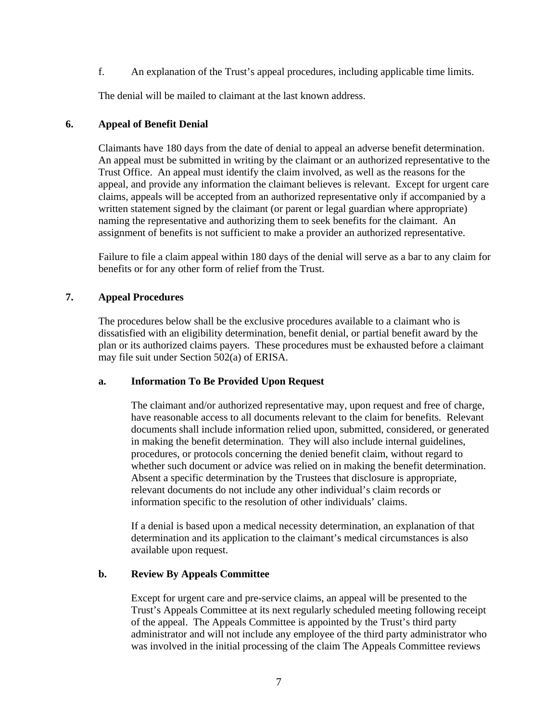f. An explanation of the Trust's appeal procedures, including applicable time limits.

The denial will be mailed to claimant at the last known address.

#### **6. Appeal of Benefit Denial**

Claimants have 180 days from the date of denial to appeal an adverse benefit determination. An appeal must be submitted in writing by the claimant or an authorized representative to the Trust Office. An appeal must identify the claim involved, as well as the reasons for the appeal, and provide any information the claimant believes is relevant. Except for urgent care claims, appeals will be accepted from an authorized representative only if accompanied by a written statement signed by the claimant (or parent or legal guardian where appropriate) naming the representative and authorizing them to seek benefits for the claimant. An assignment of benefits is not sufficient to make a provider an authorized representative.

Failure to file a claim appeal within 180 days of the denial will serve as a bar to any claim for benefits or for any other form of relief from the Trust.

## **7. Appeal Procedures**

The procedures below shall be the exclusive procedures available to a claimant who is dissatisfied with an eligibility determination, benefit denial, or partial benefit award by the plan or its authorized claims payers. These procedures must be exhausted before a claimant may file suit under Section 502(a) of ERISA.

#### **a. Information To Be Provided Upon Request**

The claimant and/or authorized representative may, upon request and free of charge, have reasonable access to all documents relevant to the claim for benefits. Relevant documents shall include information relied upon, submitted, considered, or generated in making the benefit determination. They will also include internal guidelines, procedures, or protocols concerning the denied benefit claim, without regard to whether such document or advice was relied on in making the benefit determination. Absent a specific determination by the Trustees that disclosure is appropriate, relevant documents do not include any other individual's claim records or information specific to the resolution of other individuals' claims.

If a denial is based upon a medical necessity determination, an explanation of that determination and its application to the claimant's medical circumstances is also available upon request.

## **b. Review By Appeals Committee**

Except for urgent care and pre-service claims, an appeal will be presented to the Trust's Appeals Committee at its next regularly scheduled meeting following receipt of the appeal. The Appeals Committee is appointed by the Trust's third party administrator and will not include any employee of the third party administrator who was involved in the initial processing of the claim The Appeals Committee reviews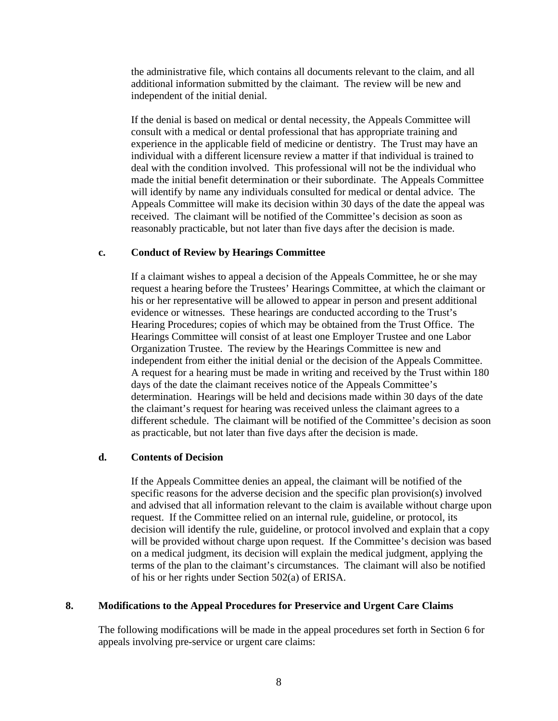the administrative file, which contains all documents relevant to the claim, and all additional information submitted by the claimant. The review will be new and independent of the initial denial.

If the denial is based on medical or dental necessity, the Appeals Committee will consult with a medical or dental professional that has appropriate training and experience in the applicable field of medicine or dentistry. The Trust may have an individual with a different licensure review a matter if that individual is trained to deal with the condition involved. This professional will not be the individual who made the initial benefit determination or their subordinate. The Appeals Committee will identify by name any individuals consulted for medical or dental advice. The Appeals Committee will make its decision within 30 days of the date the appeal was received. The claimant will be notified of the Committee's decision as soon as reasonably practicable, but not later than five days after the decision is made.

#### **c. Conduct of Review by Hearings Committee**

If a claimant wishes to appeal a decision of the Appeals Committee, he or she may request a hearing before the Trustees' Hearings Committee, at which the claimant or his or her representative will be allowed to appear in person and present additional evidence or witnesses. These hearings are conducted according to the Trust's Hearing Procedures; copies of which may be obtained from the Trust Office. The Hearings Committee will consist of at least one Employer Trustee and one Labor Organization Trustee. The review by the Hearings Committee is new and independent from either the initial denial or the decision of the Appeals Committee. A request for a hearing must be made in writing and received by the Trust within 180 days of the date the claimant receives notice of the Appeals Committee's determination. Hearings will be held and decisions made within 30 days of the date the claimant's request for hearing was received unless the claimant agrees to a different schedule. The claimant will be notified of the Committee's decision as soon as practicable, but not later than five days after the decision is made.

#### **d. Contents of Decision**

If the Appeals Committee denies an appeal, the claimant will be notified of the specific reasons for the adverse decision and the specific plan provision(s) involved and advised that all information relevant to the claim is available without charge upon request. If the Committee relied on an internal rule, guideline, or protocol, its decision will identify the rule, guideline, or protocol involved and explain that a copy will be provided without charge upon request. If the Committee's decision was based on a medical judgment, its decision will explain the medical judgment, applying the terms of the plan to the claimant's circumstances. The claimant will also be notified of his or her rights under Section 502(a) of ERISA.

#### **8. Modifications to the Appeal Procedures for Preservice and Urgent Care Claims**

The following modifications will be made in the appeal procedures set forth in Section 6 for appeals involving pre-service or urgent care claims: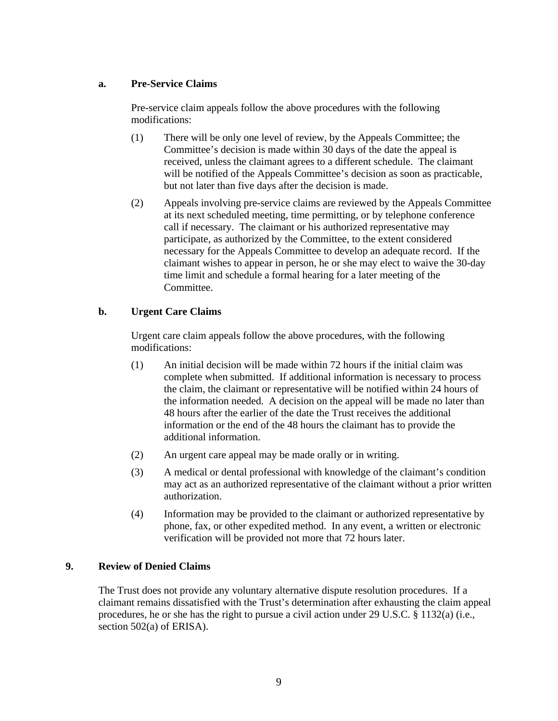## **a. Pre-Service Claims**

Pre-service claim appeals follow the above procedures with the following modifications:

- (1) There will be only one level of review, by the Appeals Committee; the Committee's decision is made within 30 days of the date the appeal is received, unless the claimant agrees to a different schedule. The claimant will be notified of the Appeals Committee's decision as soon as practicable, but not later than five days after the decision is made.
- (2) Appeals involving pre-service claims are reviewed by the Appeals Committee at its next scheduled meeting, time permitting, or by telephone conference call if necessary. The claimant or his authorized representative may participate, as authorized by the Committee, to the extent considered necessary for the Appeals Committee to develop an adequate record. If the claimant wishes to appear in person, he or she may elect to waive the 30-day time limit and schedule a formal hearing for a later meeting of the Committee.

## **b. Urgent Care Claims**

Urgent care claim appeals follow the above procedures, with the following modifications:

- (1) An initial decision will be made within 72 hours if the initial claim was complete when submitted. If additional information is necessary to process the claim, the claimant or representative will be notified within 24 hours of the information needed. A decision on the appeal will be made no later than 48 hours after the earlier of the date the Trust receives the additional information or the end of the 48 hours the claimant has to provide the additional information.
- (2) An urgent care appeal may be made orally or in writing.
- (3) A medical or dental professional with knowledge of the claimant's condition may act as an authorized representative of the claimant without a prior written authorization.
- (4) Information may be provided to the claimant or authorized representative by phone, fax, or other expedited method. In any event, a written or electronic verification will be provided not more that 72 hours later.

#### **9. Review of Denied Claims**

The Trust does not provide any voluntary alternative dispute resolution procedures. If a claimant remains dissatisfied with the Trust's determination after exhausting the claim appeal procedures, he or she has the right to pursue a civil action under 29 U.S.C. § 1132(a) (i.e., section 502(a) of ERISA).